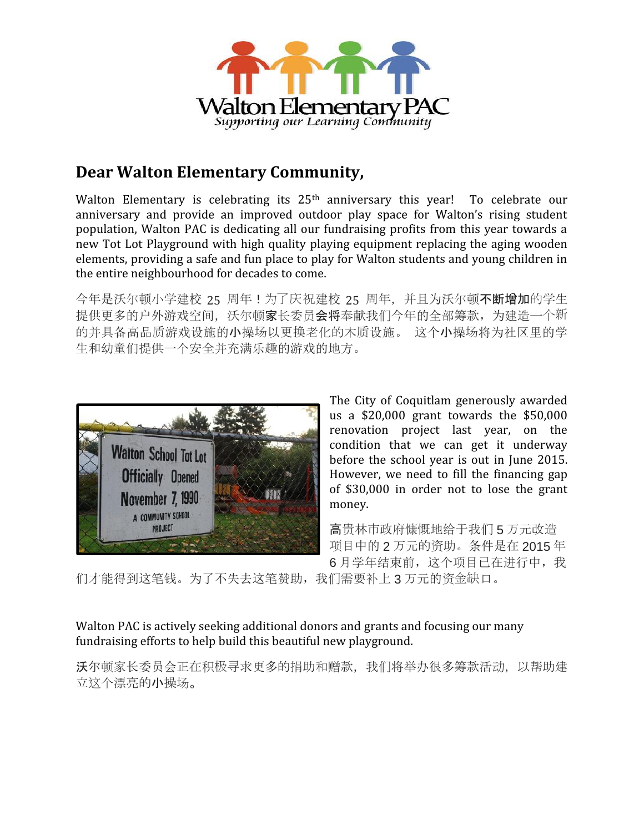

## **Dear Walton Elementary Community,**

Walton Elementary is celebrating its 25<sup>th</sup> anniversary this year! To celebrate our anniversary and provide an improved outdoor play space for Walton's rising student population, Walton PAC is dedicating all our fundraising profits from this year towards a new Tot Lot Playground with high quality playing equipment replacing the aging wooden elements, providing a safe and fun place to play for Walton students and young children in the entire neighbourhood for decades to come.

今年是沃尔顿小学建校 25 周年!为了庆祝建校 25 周年, 并且为沃尔顿不断增加的学生 提供更多的户外游戏空间,沃尔顿家长委员会将奉献我们今年的全部筹款,为建造一个新 的并具备高品质游戏设施的小操场以更换老化的木质设施。 这个小操场将为社区里的学 生和幼童们提供一个安全并充满乐趣的游戏的地方。



The City of Coquitlam generously awarded us a \$20,000 grant towards the \$50,000 renovation project last year, on the condition that we can get it underway before the school year is out in June 2015. However, we need to fill the financing gap of \$30,000 in order not to lose the grant money.

高贵林市政府慷慨地给于我们 5 万元改造 项目中的 2 万元的资助。条件是在 2015 年 6 月学年结束前,这个项目已在进行中,我

们才能得到这笔钱。为了不失去这笔赞助,我们需要补上 3 万元的资金缺口。

### Walton PAC is actively seeking additional donors and grants and focusing our many fundraising efforts to help build this beautiful new playground.

沃尔顿家长委员会正在积极寻求更多的捐助和赠款,我们将举办很多筹款活动,以帮助建 立这个漂亮的小操场。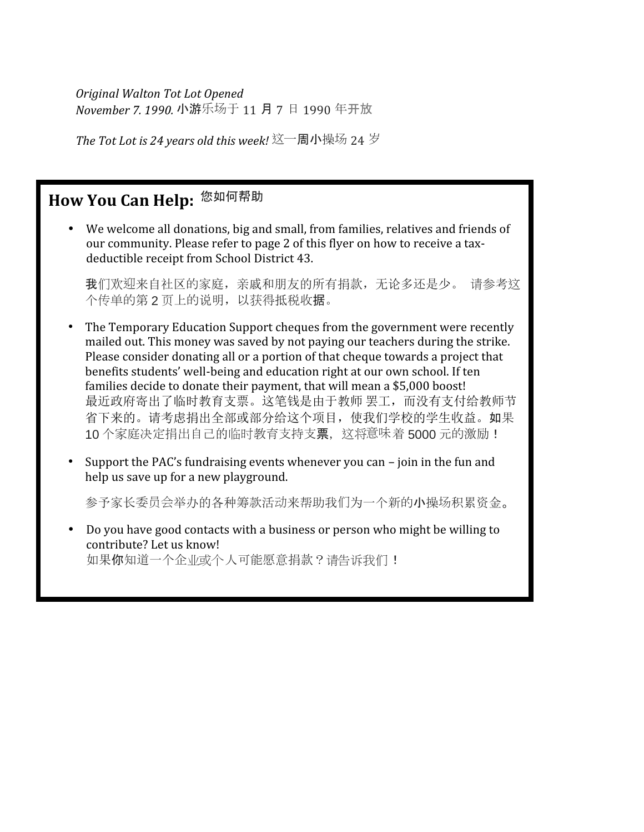*Original Walton Tot Lot Opened November 7. 1990.* 小游乐场于 11 月 7 日 1990 年开放

*The Tot Lot is 24 years old this week!* 这一周小操场 24 岁

# **How You Can Help:** 您如何帮助

 We welcome all donations, big and small, from families, relatives and friends of our community. Please refer to page 2 of this flyer on how to receive a tax deductible receipt from School District 43.

我们欢迎来自社区的家庭,亲戚和朋友的所有捐款,无论多还是少。 请参考这 个传单的第2页上的说明,以获得抵税收据。

- The Temporary Education Support cheques from the government were recently mailed out. This money was saved by not paying our teachers during the strike. Please consider donating all or a portion of that cheque towards a project that benefits students' well-being and education right at our own school. If ten families decide to donate their payment, that will mean a \$5,000 boost! 最近政府寄出了临时教育支票。这笔钱是由于教师 罢工,而没有支付给教师节 省下来的。请考虑捐出全部或部分给这个项目,使我们学校的学生收益。如果 10 个家庭决定捐出自己的临时教育支持支票, 这将意味着 5000 元的激励!
- Support the PAC's fundraising events whenever you can join in the fun and help us save up for a new playground.

多予家长委员会举办的各种筹款活动来帮助我们为一个新的小操场积累资金。

 Do you have good contacts with a business or person who might be willing to contribute? Let us know! 如果你知道一个企业或个人可能愿意捐款?请告诉我们!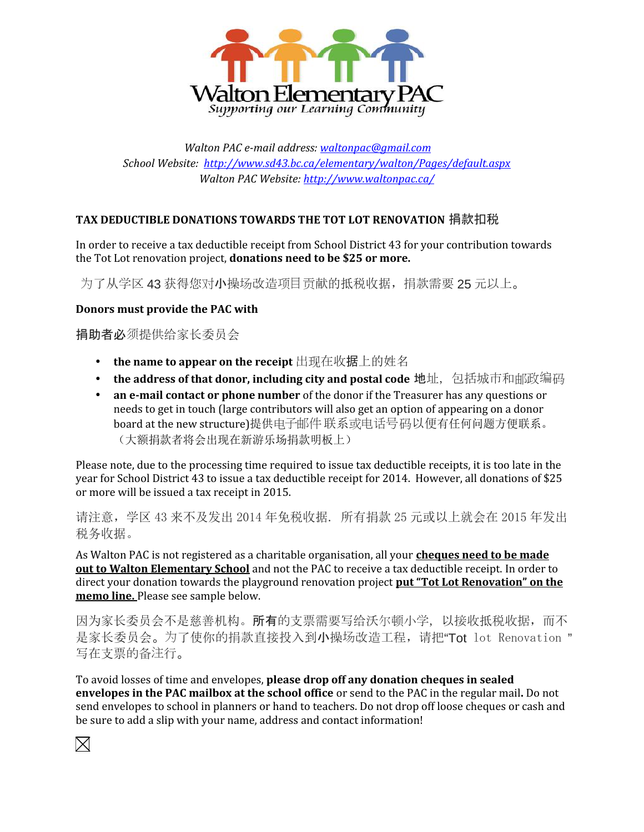

*Walton PAC e-mail address: waltonpac@gmail.com School Website: http://www.sd43.bc.ca/elementary/walton/Pages/default.aspx Walton PAC Website: http://www.waltonpac.ca/*

### **TAX DEDUCTIBLE DONATIONS TOWARDS THE TOT LOT RENOVATION** 捐款扣税

In order to receive a tax deductible receipt from School District 43 for your contribution towards the Tot Lot renovation project, **donations need to be \$25 or more.**

为了从学区 43 获得您对小操场改造项目贡献的抵税收据,捐款需要 25 元以上。

#### **Donors must provide the PAC with**

捐助者必须提供给家长委员会

- **the name to appear on the receipt** 出现在收据上的姓名
- the address of that donor, including city and postal code 地址, 包括城市和邮政编码
- **an e-mail contact or phone number** of the donor if the Treasurer has any questions or needs to get in touch (large contributors will also get an option of appearing on a donor board at the new structure)提供电子邮件联系或电话号码以便有任何问题方便联系。 (大额捐款者将会出现在新游乐场捐款明板上)

Please note, due to the processing time required to issue tax deductible receipts, it is too late in the year for School District 43 to issue a tax deductible receipt for 2014. However, all donations of \$25 or more will be issued a tax receipt in 2015.

请注意,学区 43 来不及发出 2014 年免税收据. 所有捐款 25 元或以上就会在 2015 年发出 税务收据。

As Walton PAC is not registered as a charitable organisation, all your **cheques need to be made out to Walton Elementary School** and not the PAC to receive a tax deductible receipt. In order to direct your donation towards the playground renovation project **put "Tot Lot Renovation" on the memo line.** Please see sample below.

因为家长委员会不是慈善机构。所有的支票需要写给沃尔顿小学,以接收抵税收据,而不 是家长委员会。为了使你的捐款直接投入到小操场改造工程, 请把"Tot lot Renovation " 写在支票的备注行。

To avoid losses of time and envelopes, **please drop off any donation cheques in sealed envelopes in the PAC mailbox at the school office** or send to the PAC in the regular mail**.** Do not send envelopes to school in planners or hand to teachers. Do not drop off loose cheques or cash and be sure to add a slip with your name, address and contact information!

 $\bowtie$